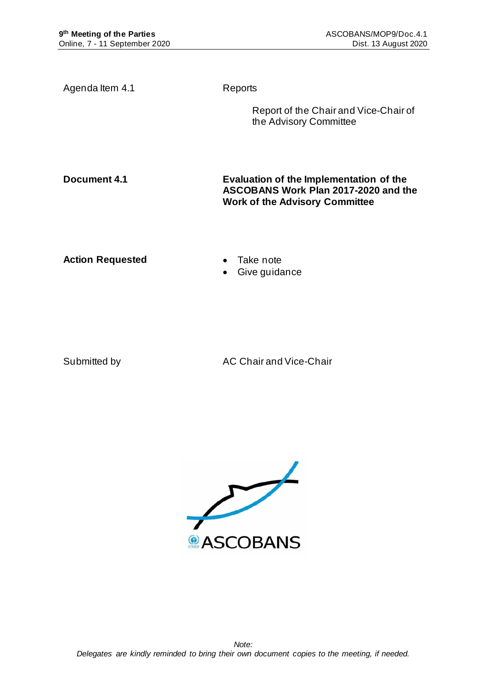Agenda Item 4.1 Reports Report of the Chair and Vice-Chair of the Advisory Committee **Document 4.1 Evaluation of the Implementation of the ASCOBANS Work Plan 2017-2020 and the Work of the Advisory Committee Action Requested** • Take note • Give guidance

Submitted by AC Chair and Vice-Chair

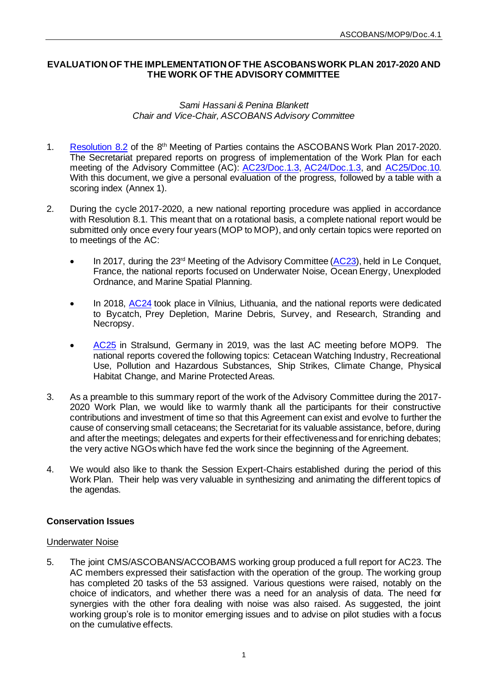## **EVALUATION OF THE IMPLEMENTATION OF THE ASCOBANS WORK PLAN 2017-2020 AND THE WORK OF THE ADVISORY COMMITTEE**

## *Sami Hassani & Penina Blankett Chair and Vice-Chair, ASCOBANS Advisory Committee*

- 1. [Resolution 8.2](https://www.ascobans.org/en/document/work-plan-ascobans-advisory-committee-and-secretariat-2017-2020-and-strategic-plan-0) of the 8<sup>th</sup> Meeting of Parties contains the ASCOBANS Work Plan 2017-2020. The Secretariat prepared reports on progress of implementation of the Work Plan for each meeting of the Advisory Committee (AC): [AC23/Doc.1.3, AC24/Doc.1.3,](https://www.ascobans.org/en/document/ascobans-work-plan-2017-2020-progress-0) and [AC25/Doc.10.](https://www.ascobans.org/en/document/ascobans-work-plan-2017-2020-overview-implementation) With this document, we give a personal evaluation of the progress, followed by a table with a scoring index (Annex 1).
- 2. During the cycle 2017-2020, a new national reporting procedure was applied in accordance with Resolution 8.1. This meant that on a rotational basis, a complete national report would be submitted only once every four years (MOP to MOP), and only certain topics were reported on to meetings of the AC:
	- In 2017, during the 23<sup>rd</sup> Meeting of the Advisory Committee [\(AC23\)](https://www.ascobans.org/en/meeting/ac23), held in Le Conquet, France, the national reports focused on Underwater Noise, Ocean Energy, Unexploded Ordnance, and Marine Spatial Planning.
	- In 2018, [AC24](https://www.ascobans.org/en/meeting/ac24) took place in Vilnius, Lithuania, and the national reports were dedicated to Bycatch, Prey Depletion, Marine Debris, Survey, and Research, Stranding and Necropsy.
	- [AC25](https://www.ascobans.org/en/meeting/ac25) in Stralsund, Germany in 2019, was the last AC meeting before MOP9. The national reports covered the following topics: Cetacean Watching Industry, Recreational Use, Pollution and Hazardous Substances, Ship Strikes, Climate Change, Physical Habitat Change, and Marine Protected Areas.
- 3. As a preamble to this summary report of the work of the Advisory Committee during the 2017- 2020 Work Plan, we would like to warmly thank all the participants for their constructive contributions and investment of time so that this Agreement can exist and evolve to further the cause of conserving small cetaceans; the Secretariat for its valuable assistance, before, during and after the meetings; delegates and experts for their effectiveness and for enriching debates; the very active NGOs which have fed the work since the beginning of the Agreement.
- 4. We would also like to thank the Session Expert-Chairs established during the period of this Work Plan. Their help was very valuable in synthesizing and animating the different topics of the agendas.

## **Conservation Issues**

## Underwater Noise

5. The joint CMS/ASCOBANS/ACCOBAMS working group produced a full report for AC23. The AC members expressed their satisfaction with the operation of the group. The working group has completed 20 tasks of the 53 assigned. Various questions were raised, notably on the choice of indicators, and whether there was a need for an analysis of data. The need for synergies with the other fora dealing with noise was also raised. As suggested, the joint working group's role is to monitor emerging issues and to advise on pilot studies with a focus on the cumulative effects.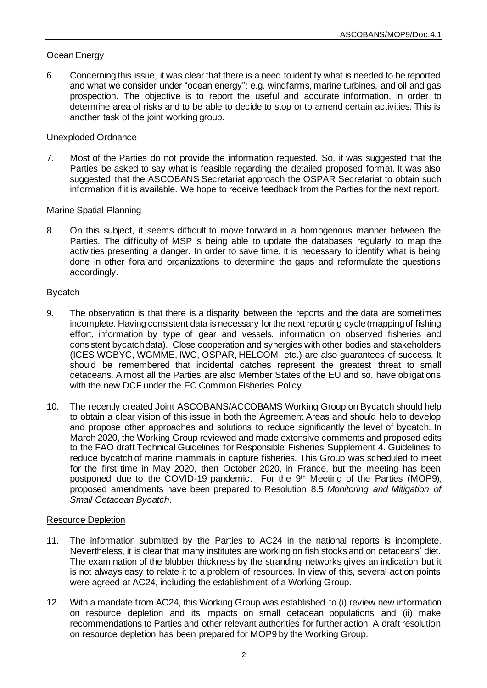## Ocean Energy

6. Concerning this issue, it was clear that there is a need to identify what is needed to be reported and what we consider under "ocean energy": e.g. windfarms, marine turbines, and oil and gas prospection. The objective is to report the useful and accurate information, in order to determine area of risks and to be able to decide to stop or to amend certain activities. This is another task of the joint working group.

#### Unexploded Ordnance

7. Most of the Parties do not provide the information requested. So, it was suggested that the Parties be asked to say what is feasible regarding the detailed proposed format. It was also suggested that the ASCOBANS Secretariat approach the OSPAR Secretariat to obtain such information if it is available. We hope to receive feedback from the Parties for the next report.

#### Marine Spatial Planning

8. On this subject, it seems difficult to move forward in a homogenous manner between the Parties. The difficulty of MSP is being able to update the databases regularly to map the activities presenting a danger. In order to save time, it is necessary to identify what is being done in other fora and organizations to determine the gaps and reformulate the questions accordingly.

## Bycatch

- 9. The observation is that there is a disparity between the reports and the data are sometimes incomplete. Having consistent data is necessary for the next reporting cycle (mapping of fishing effort, information by type of gear and vessels, information on observed fisheries and consistent bycatch data). Close cooperation and synergies with other bodies and stakeholders (ICES WGBYC, WGMME, IWC, OSPAR, HELCOM, etc.) are also guarantees of success. It should be remembered that incidental catches represent the greatest threat to small cetaceans. Almost all the Parties are also Member States of the EU and so, have obligations with the new DCF under the EC Common Fisheries Policy.
- 10. The recently created Joint ASCOBANS/ACCOBAMS Working Group on Bycatch should help to obtain a clear vision of this issue in both the Agreement Areas and should help to develop and propose other approaches and solutions to reduce significantly the level of bycatch. In March 2020, the Working Group reviewed and made extensive comments and proposed edits to the FAO draft Technical Guidelines for Responsible Fisheries Supplement 4. Guidelines to reduce bycatch of marine mammals in capture fisheries. This Group was scheduled to meet for the first time in May 2020, then October 2020, in France, but the meeting has been postponed due to the COVID-19 pandemic. For the 9<sup>th</sup> Meeting of the Parties (MOP9), proposed amendments have been prepared to Resolution 8.5 *Monitoring and Mitigation of Small Cetacean Bycatch*.

#### Resource Depletion

- 11. The information submitted by the Parties to AC24 in the national reports is incomplete. Nevertheless, it is clear that many institutes are working on fish stocks and on cetaceans' diet. The examination of the blubber thickness by the stranding networks gives an indication but it is not always easy to relate it to a problem of resources. In view of this, several action points were agreed at AC24, including the establishment of a Working Group.
- 12. With a mandate from AC24, this Working Group was established to (i) review new information on resource depletion and its impacts on small cetacean populations and (ii) make recommendations to Parties and other relevant authorities for further action. A draft resolution on resource depletion has been prepared for MOP9 by the Working Group.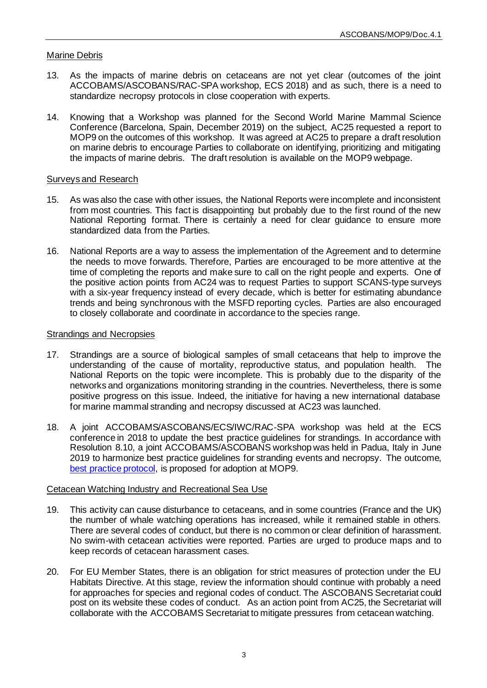## Marine Debris

- 13. As the impacts of marine debris on cetaceans are not yet clear (outcomes of the joint ACCOBAMS/ASCOBANS/RAC-SPA workshop, ECS 2018) and as such, there is a need to standardize necropsy protocols in close cooperation with experts.
- 14. Knowing that a Workshop was planned for the Second World Marine Mammal Science Conference (Barcelona, Spain, December 2019) on the subject, AC25 requested a report to MOP9 on the outcomes of this workshop. It was agreed at AC25 to prepare a draft resolution on marine debris to encourage Parties to collaborate on identifying, prioritizing and mitigating the impacts of marine debris. The draft resolution is available on the MOP9 webpage.

#### Surveys and Research

- 15. As was also the case with other issues, the National Reports were incomplete and inconsistent from most countries. This fact is disappointing but probably due to the first round of the new National Reporting format. There is certainly a need for clear quidance to ensure more standardized data from the Parties.
- 16. National Reports are a way to assess the implementation of the Agreement and to determine the needs to move forwards. Therefore, Parties are encouraged to be more attentive at the time of completing the reports and make sure to call on the right people and experts. One of the positive action points from AC24 was to request Parties to support SCANS-type surveys with a six-year frequency instead of every decade, which is better for estimating abundance trends and being synchronous with the MSFD reporting cycles. Parties are also encouraged to closely collaborate and coordinate in accordance to the species range.

#### Strandings and Necropsies

- 17. Strandings are a source of biological samples of small cetaceans that help to improve the understanding of the cause of mortality, reproductive status, and population health. The National Reports on the topic were incomplete. This is probably due to the disparity of the networks and organizations monitoring stranding in the countries. Nevertheless, there is some positive progress on this issue. Indeed, the initiative for having a new international database for marine mammal stranding and necropsy discussed at AC23 was launched.
- 18. A joint ACCOBAMS/ASCOBANS/ECS/IWC/RAC-SPA workshop was held at the ECS conference in 2018 to update the best practice guidelines for strandings. In accordance with Resolution 8.10, a joint ACCOBAMS/ASCOBANS workshop was held in Padua, Italy in June 2019 to harmonize best practice guidelines for stranding events and necropsy. The outcome, [best practice protocol,](https://www.ascobans.org/en/document/best-practice-cetacean-post-mortem-investigation-and-tissue-sampling-0) is proposed for adoption at MOP9.

#### Cetacean Watching Industry and Recreational Sea Use

- 19. This activity can cause disturbance to cetaceans, and in some countries (France and the UK) the number of whale watching operations has increased, while it remained stable in others. There are several codes of conduct, but there is no common or clear definition of harassment. No swim-with cetacean activities were reported. Parties are urged to produce maps and to keep records of cetacean harassment cases.
- 20. For EU Member States, there is an obligation for strict measures of protection under the EU Habitats Directive. At this stage, review the information should continue with probably a need for approaches for species and regional codes of conduct. The ASCOBANS Secretariat could post on its website these codes of conduct. As an action point from AC25, the Secretariat will collaborate with the ACCOBAMS Secretariat to mitigate pressures from cetacean watching.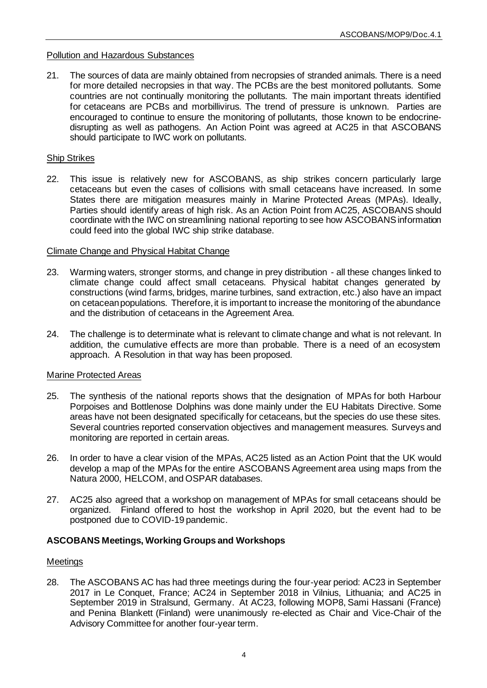#### Pollution and Hazardous Substances

21. The sources of data are mainly obtained from necropsies of stranded animals. There is a need for more detailed necropsies in that way. The PCBs are the best monitored pollutants. Some countries are not continually monitoring the pollutants. The main important threats identified for cetaceans are PCBs and morbillivirus. The trend of pressure is unknown. Parties are encouraged to continue to ensure the monitoring of pollutants, those known to be endocrinedisrupting as well as pathogens. An Action Point was agreed at AC25 in that ASCOBANS should participate to IWC work on pollutants.

#### Ship Strikes

22. This issue is relatively new for ASCOBANS, as ship strikes concern particularly large cetaceans but even the cases of collisions with small cetaceans have increased. In some States there are mitigation measures mainly in Marine Protected Areas (MPAs). Ideally, Parties should identify areas of high risk. As an Action Point from AC25, ASCOBANS should coordinate with the IWC on streamlining national reporting to see how ASCOBANS information could feed into the global IWC ship strike database.

#### Climate Change and Physical Habitat Change

- 23. Warming waters, stronger storms, and change in prey distribution all these changes linked to climate change could affect small cetaceans. Physical habitat changes generated by constructions (wind farms, bridges, marine turbines, sand extraction, etc.) also have an impact on cetacean populations. Therefore, it is important to increase the monitoring of the abundance and the distribution of cetaceans in the Agreement Area.
- 24. The challenge is to determinate what is relevant to climate change and what is not relevant. In addition, the cumulative effects are more than probable. There is a need of an ecosystem approach. A Resolution in that way has been proposed.

## Marine Protected Areas

- 25. The synthesis of the national reports shows that the designation of MPAs for both Harbour Porpoises and Bottlenose Dolphins was done mainly under the EU Habitats Directive. Some areas have not been designated specifically for cetaceans, but the species do use these sites. Several countries reported conservation objectives and management measures. Surveys and monitoring are reported in certain areas.
- 26. In order to have a clear vision of the MPAs, AC25 listed as an Action Point that the UK would develop a map of the MPAs for the entire ASCOBANS Agreement area using maps from the Natura 2000, HELCOM, and OSPAR databases.
- 27. AC25 also agreed that a workshop on management of MPAs for small cetaceans should be organized. Finland offered to host the workshop in April 2020, but the event had to be postponed due to COVID-19 pandemic.

## **ASCOBANS Meetings, Working Groups and Workshops**

#### **Meetings**

28. The ASCOBANS AC has had three meetings during the four-year period: AC23 in September 2017 in Le Conquet, France; AC24 in September 2018 in Vilnius, Lithuania; and AC25 in September 2019 in Stralsund, Germany. At AC23, following MOP8, Sami Hassani (France) and Penina Blankett (Finland) were unanimously re-elected as Chair and Vice-Chair of the Advisory Committee for another four-year term.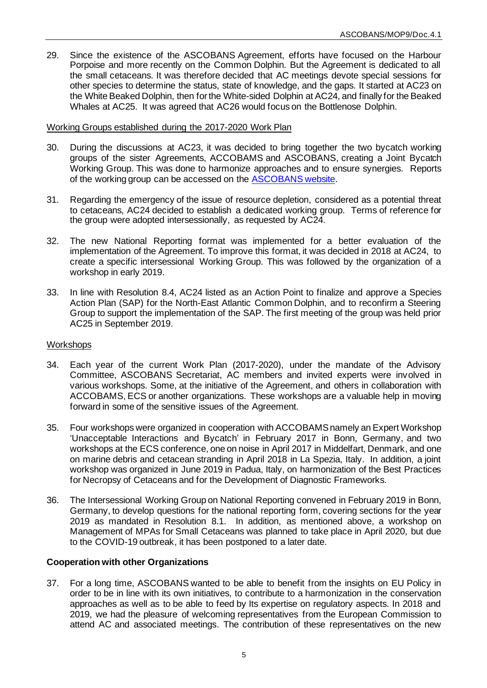29. Since the existence of the ASCOBANS Agreement, efforts have focused on the Harbour Porpoise and more recently on the Common Dolphin. But the Agreement is dedicated to all the small cetaceans. It was therefore decided that AC meetings devote special sessions for other species to determine the status, state of knowledge, and the gaps. It started at AC23 on the White Beaked Dolphin, then for the White-sided Dolphin at AC24, and finally for the Beaked Whales at AC25. It was agreed that AC26 would focus on the Bottlenose Dolphin.

## Working Groups established during the 2017-2020 Work Plan

- 30. During the discussions at AC23, it was decided to bring together the two bycatch working groups of the sister Agreements, ACCOBAMS and ASCOBANS, creating a Joint Bycatch Working Group. This was done to harmonize approaches and to ensure synergies. Reports of the working group can be accessed on the [ASCOBANS website.](https://www.ascobans.org/en/working_group/bycatch)
- 31. Regarding the emergency of the issue of resource depletion, considered as a potential threat to cetaceans, AC24 decided to establish a dedicated working group. Terms of reference for the group were adopted intersessionally, as requested by AC24.
- 32. The new National Reporting format was implemented for a better evaluation of the implementation of the Agreement. To improve this format, it was decided in 2018 at AC24, to create a specific intersessional Working Group. This was followed by the organization of a workshop in early 2019.
- 33. In line with Resolution 8.4, AC24 listed as an Action Point to finalize and approve a Species Action Plan (SAP) for the North-East Atlantic Common Dolphin, and to reconfirm a Steering Group to support the implementation of the SAP. The first meeting of the group was held prior AC25 in September 2019.

## **Workshops**

- 34. Each year of the current Work Plan (2017-2020), under the mandate of the Advisory Committee, ASCOBANS Secretariat, AC members and invited experts were involved in various workshops. Some, at the initiative of the Agreement, and others in collaboration with ACCOBAMS, ECS or another organizations. These workshops are a valuable help in moving forward in some of the sensitive issues of the Agreement.
- 35. Four workshops were organized in cooperation with ACCOBAMS namely an Expert Workshop 'Unacceptable Interactions and Bycatch' in February 2017 in Bonn, Germany, and two workshops at the ECS conference, one on noise in April 2017 in Middelfart, Denmark, and one on marine debris and cetacean stranding in April 2018 in La Spezia, Italy. In addition, a joint workshop was organized in June 2019 in Padua, Italy, on harmonization of the Best Practices for Necropsy of Cetaceans and for the Development of Diagnostic Frameworks.
- 36. The Intersessional Working Group on National Reporting convened in February 2019 in Bonn, Germany, to develop questions for the national reporting form, covering sections for the year 2019 as mandated in Resolution 8.1. In addition, as mentioned above, a workshop on Management of MPAs for Small Cetaceans was planned to take place in April 2020, but due to the COVID-19 outbreak, it has been postponed to a later date.

## **Cooperation with other Organizations**

37. For a long time, ASCOBANS wanted to be able to benefit from the insights on EU Policy in order to be in line with its own initiatives, to contribute to a harmonization in the conservation approaches as well as to be able to feed by Its expertise on regulatory aspects. In 2018 and 2019, we had the pleasure of welcoming representatives from the European Commission to attend AC and associated meetings. The contribution of these representatives on the new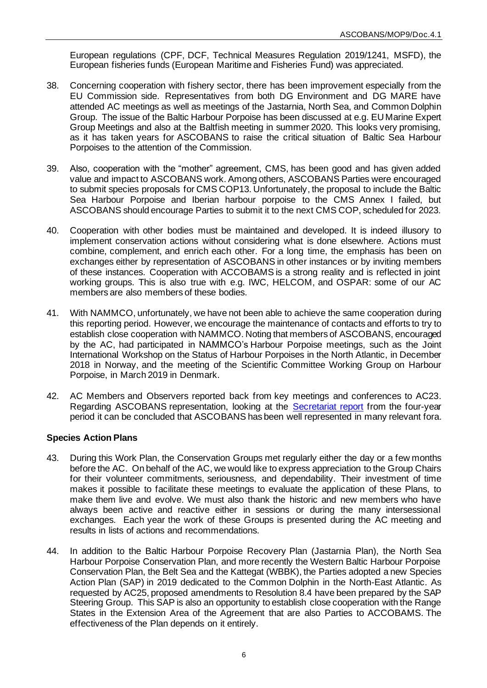European regulations (CPF, DCF, Technical Measures Regulation 2019/1241, MSFD), the European fisheries funds (European Maritime and Fisheries Fund) was appreciated.

- 38. Concerning cooperation with fishery sector, there has been improvement especially from the EU Commission side. Representatives from both DG Environment and DG MARE have attended AC meetings as well as meetings of the Jastarnia, North Sea, and Common Dolphin Group. The issue of the Baltic Harbour Porpoise has been discussed at e.g. EU Marine Expert Group Meetings and also at the Baltfish meeting in summer 2020. This looks very promising, as it has taken years for ASCOBANS to raise the critical situation of Baltic Sea Harbour Porpoises to the attention of the Commission.
- 39. Also, cooperation with the "mother" agreement, CMS, has been good and has given added value and impact to ASCOBANS work. Among others, ASCOBANS Parties were encouraged to submit species proposals for CMS COP13. Unfortunately, the proposal to include the Baltic Sea Harbour Porpoise and Iberian harbour porpoise to the CMS Annex I failed, but ASCOBANS should encourage Parties to submit it to the next CMS COP, scheduled for 2023.
- 40. Cooperation with other bodies must be maintained and developed. It is indeed illusory to implement conservation actions without considering what is done elsewhere. Actions must combine, complement, and enrich each other. For a long time, the emphasis has been on exchanges either by representation of ASCOBANS in other instances or by inviting members of these instances. Cooperation with ACCOBAMS is a strong reality and is reflected in joint working groups. This is also true with e.g. IWC, HELCOM, and OSPAR: some of our AC members are also members of these bodies.
- 41. With NAMMCO, unfortunately, we have not been able to achieve the same cooperation during this reporting period. However, we encourage the maintenance of contacts and efforts to try to establish close cooperation with NAMMCO. Noting that members of ASCOBANS, encouraged by the AC, had participated in NAMMCO's Harbour Porpoise meetings, such as the Joint International Workshop on the Status of Harbour Porpoises in the North Atlantic, in December 2018 in Norway, and the meeting of the Scientific Committee Working Group on Harbour Porpoise, in March 2019 in Denmark.
- 42. AC Members and Observers reported back from key meetings and conferences to AC23. Regarding ASCOBANS representation, looking at the [Secretariat report](https://www.ascobans.org/en/document/report-ascobans-secretariat-mop9) from the four-year period it can be concluded that ASCOBANS has been well represented in many relevant fora.

## **Species Action Plans**

- 43. During this Work Plan, the Conservation Groups met regularly either the day or a few months before the AC. On behalf of the AC, we would like to express appreciation to the Group Chairs for their volunteer commitments, seriousness, and dependability. Their investment of time makes it possible to facilitate these meetings to evaluate the application of these Plans, to make them live and evolve. We must also thank the historic and new members who have always been active and reactive either in sessions or during the many intersessional exchanges. Each year the work of these Groups is presented during the AC meeting and results in lists of actions and recommendations.
- 44. In addition to the Baltic Harbour Porpoise Recovery Plan (Jastarnia Plan), the North Sea Harbour Porpoise Conservation Plan, and more recently the Western Baltic Harbour Porpoise Conservation Plan, the Belt Sea and the Kattegat (WBBK), the Parties adopted a new Species Action Plan (SAP) in 2019 dedicated to the Common Dolphin in the North-East Atlantic. As requested by AC25, proposed amendments to Resolution 8.4 have been prepared by the SAP Steering Group. This SAP is also an opportunity to establish close cooperation with the Range States in the Extension Area of the Agreement that are also Parties to ACCOBAMS. The effectiveness of the Plan depends on it entirely.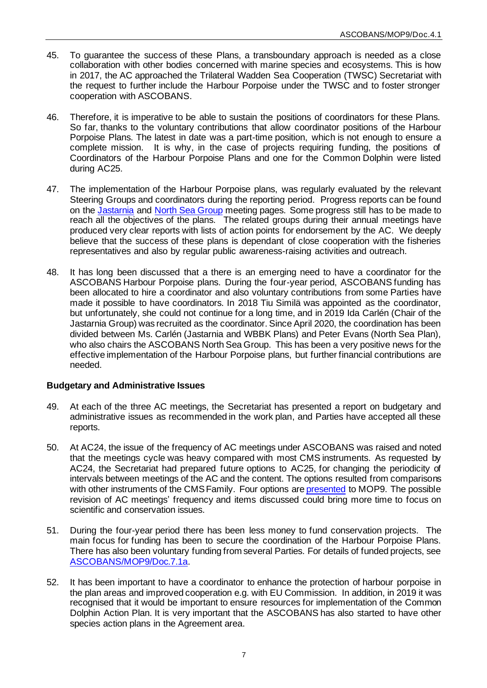- 45. To guarantee the success of these Plans, a transboundary approach is needed as a close collaboration with other bodies concerned with marine species and ecosystems. This is how in 2017, the AC approached the Trilateral Wadden Sea Cooperation (TWSC) Secretariat with the request to further include the Harbour Porpoise under the TWSC and to foster stronger cooperation with ASCOBANS.
- 46. Therefore, it is imperative to be able to sustain the positions of coordinators for these Plans. So far, thanks to the voluntary contributions that allow coordinator positions of the Harbour Porpoise Plans. The latest in date was a part-time position, which is not enough to ensure a complete mission. It is why, in the case of projects requiring funding, the positions of Coordinators of the Harbour Porpoise Plans and one for the Common Dolphin were listed during AC25.
- 47. The implementation of the Harbour Porpoise plans, was regularly evaluated by the relevant Steering Groups and coordinators during the reporting period. Progress reports can be found on the [Jastarnia](https://www.ascobans.org/en/working_group/jastarnia) and [North Sea Group](https://www.ascobans.org/en/working_group/north_sea) meeting pages. Some progress still has to be made to reach all the objectives of the plans. The related groups during their annual meetings have produced very clear reports with lists of action points for endorsement by the AC. We deeply believe that the success of these plans is dependant of close cooperation with the fisheries representatives and also by regular public awareness-raising activities and outreach.
- 48. It has long been discussed that a there is an emerging need to have a coordinator for the ASCOBANS Harbour Porpoise plans. During the four-year period, ASCOBANS funding has been allocated to hire a coordinator and also voluntary contributions from some Parties have made it possible to have coordinators. In 2018 Tiu Similä was appointed as the coordinator, but unfortunately, she could not continue for a long time, and in 2019 Ida Carlén (Chair of the Jastarnia Group) was recruited as the coordinator. Since April 2020, the coordination has been divided between Ms. Carlén (Jastarnia and WBBK Plans) and Peter Evans (North Sea Plan), who also chairs the ASCOBANS North Sea Group. This has been a very positive news for the effective implementation of the Harbour Porpoise plans, but further financial contributions are needed.

## **Budgetary and Administrative Issues**

- 49. At each of the three AC meetings, the Secretariat has presented a report on budgetary and administrative issues as recommended in the work plan, and Parties have accepted all these reports.
- 50. At AC24, the issue of the frequency of AC meetings under ASCOBANS was raised and noted that the meetings cycle was heavy compared with most CMS instruments. As requested by AC24, the Secretariat had prepared future options to AC25, for changing the periodicity of intervals between meetings of the AC and the content. The options resulted from comparisons with other instruments of the CMS Family. Four options ar[e presented](https://www.ascobans.org/en/document/options-future-meetings-advisory-committee-0) to MOP9. The possible revision of AC meetings' frequency and items discussed could bring more time to focus on scientific and conservation issues.
- 51. During the four-year period there has been less money to fund conservation projects. The main focus for funding has been to secure the coordination of the Harbour Porpoise Plans. There has also been voluntary funding from several Parties. For details of funded projects, see [ASCOBANS/MOP9/Doc.7.1a.](https://www.ascobans.org/en/document/report-secretariat-financial-and-administrative-matters-2017-2020)
- 52. It has been important to have a coordinator to enhance the protection of harbour porpoise in the plan areas and improved cooperation e.g. with EU Commission. In addition, in 2019 it was recognised that it would be important to ensure resources for implementation of the Common Dolphin Action Plan. It is very important that the ASCOBANS has also started to have other species action plans in the Agreement area.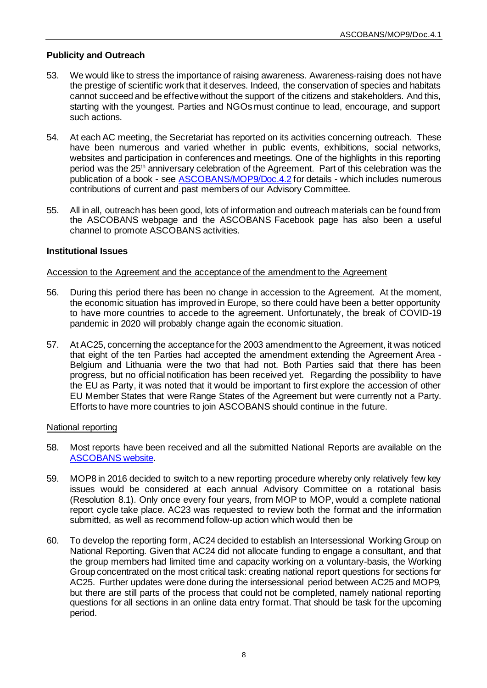## **Publicity and Outreach**

- 53. We would like to stress the importance of raising awareness. Awareness-raising does not have the prestige of scientific work that it deserves. Indeed, the conservation of species and habitats cannot succeed and be effective without the support of the citizens and stakeholders. And this, starting with the youngest. Parties and NGOs must continue to lead, encourage, and support such actions.
- 54. At each AC meeting, the Secretariat has reported on its activities concerning outreach. These have been numerous and varied whether in public events, exhibitions, social networks, websites and participation in conferences and meetings. One of the highlights in this reporting period was the 25<sup>th</sup> anniversary celebration of the Agreement. Part of this celebration was the publication of a book - se[e ASCOBANS/MOP9/Doc.4.2](https://www.ascobans.org/en/document/report-ascobans-secretariat-mop9) for details - which includes numerous contributions of current and past members of our Advisory Committee.
- 55. All in all, outreach has been good, lots of information and outreach materials can be found from the ASCOBANS webpage and the ASCOBANS Facebook page has also been a useful channel to promote ASCOBANS activities.

## **Institutional Issues**

## Accession to the Agreement and the acceptance of the amendment to the Agreement

- 56. During this period there has been no change in accession to the Agreement. At the moment, the economic situation has improved in Europe, so there could have been a better opportunity to have more countries to accede to the agreement. Unfortunately, the break of COVID-19 pandemic in 2020 will probably change again the economic situation.
- 57. At AC25, concerning the acceptance for the 2003 amendment to the Agreement, it was noticed that eight of the ten Parties had accepted the amendment extending the Agreement Area - Belgium and Lithuania were the two that had not. Both Parties said that there has been progress, but no official notification has been received yet. Regarding the possibility to have the EU as Party, it was noted that it would be important to first explore the accession of other EU Member States that were Range States of the Agreement but were currently not a Party. Efforts to have more countries to join ASCOBANS should continue in the future.

## National reporting

- 58. Most reports have been received and all the submitted National Reports are available on the [ASCOBANS website.](https://www.ascobans.org/en/documents/national-reports)
- 59. MOP8 in 2016 decided to switch to a new reporting procedure whereby only relatively few key issues would be considered at each annual Advisory Committee on a rotational basis (Resolution 8.1). Only once every four years, from MOP to MOP, would a complete national report cycle take place. AC23 was requested to review both the format and the information submitted, as well as recommend follow-up action which would then be
- 60. To develop the reporting form, AC24 decided to establish an Intersessional Working Group on National Reporting. Given that AC24 did not allocate funding to engage a consultant, and that the group members had limited time and capacity working on a voluntary-basis, the Working Group concentrated on the most critical task: creating national report questions for sections for AC25. Further updates were done during the intersessional period between AC25 and MOP9, but there are still parts of the process that could not be completed, namely national reporting questions for all sections in an online data entry format. That should be task for the upcoming period.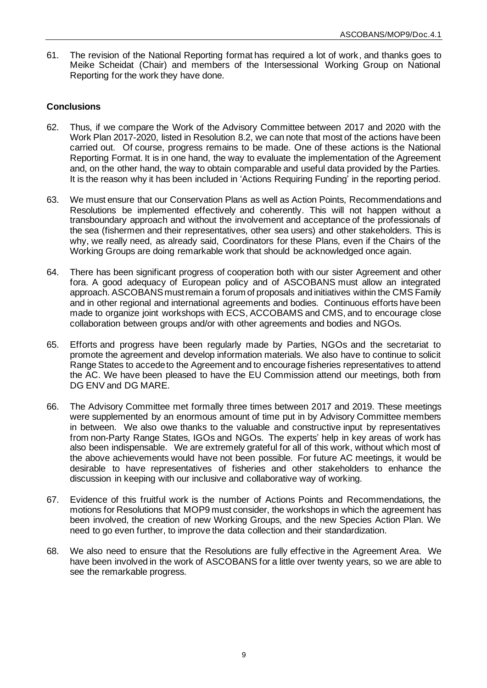61. The revision of the National Reporting format has required a lot of work, and thanks goes to Meike Scheidat (Chair) and members of the Intersessional Working Group on National Reporting for the work they have done.

# **Conclusions**

- 62. Thus, if we compare the Work of the Advisory Committee between 2017 and 2020 with the Work Plan 2017-2020, listed in Resolution 8.2, we can note that most of the actions have been carried out. Of course, progress remains to be made. One of these actions is the National Reporting Format. It is in one hand, the way to evaluate the implementation of the Agreement and, on the other hand, the way to obtain comparable and useful data provided by the Parties. It is the reason why it has been included in 'Actions Requiring Funding' in the reporting period.
- 63. We must ensure that our Conservation Plans as well as Action Points, Recommendations and Resolutions be implemented effectively and coherently. This will not happen without a transboundary approach and without the involvement and acceptance of the professionals of the sea (fishermen and their representatives, other sea users) and other stakeholders. This is why, we really need, as already said, Coordinators for these Plans, even if the Chairs of the Working Groups are doing remarkable work that should be acknowledged once again.
- 64. There has been significant progress of cooperation both with our sister Agreement and other fora. A good adequacy of European policy and of ASCOBANS must allow an integrated approach. ASCOBANS must remain a forum of proposals and initiatives within the CMS Family and in other regional and international agreements and bodies. Continuous efforts have been made to organize joint workshops with ECS, ACCOBAMS and CMS, and to encourage close collaboration between groups and/or with other agreements and bodies and NGOs.
- 65. Efforts and progress have been regularly made by Parties, NGOs and the secretariat to promote the agreement and develop information materials. We also have to continue to solicit Range States to accede to the Agreement and to encourage fisheries representatives to attend the AC. We have been pleased to have the EU Commission attend our meetings, both from DG ENV and DG MARE.
- 66. The Advisory Committee met formally three times between 2017 and 2019. These meetings were supplemented by an enormous amount of time put in by Advisory Committee members in between. We also owe thanks to the valuable and constructive input by representatives from non-Party Range States, IGOs and NGOs. The experts' help in key areas of work has also been indispensable. We are extremely grateful for all of this work, without which most of the above achievements would have not been possible. For future AC meetings, it would be desirable to have representatives of fisheries and other stakeholders to enhance the discussion in keeping with our inclusive and collaborative way of working.
- 67. Evidence of this fruitful work is the number of Actions Points and Recommendations, the motions for Resolutions that MOP9 must consider, the workshops in which the agreement has been involved, the creation of new Working Groups, and the new Species Action Plan. We need to go even further, to improve the data collection and their standardization.
- 68. We also need to ensure that the Resolutions are fully effective in the Agreement Area. We have been involved in the work of ASCOBANS for a little over twenty years, so we are able to see the remarkable progress.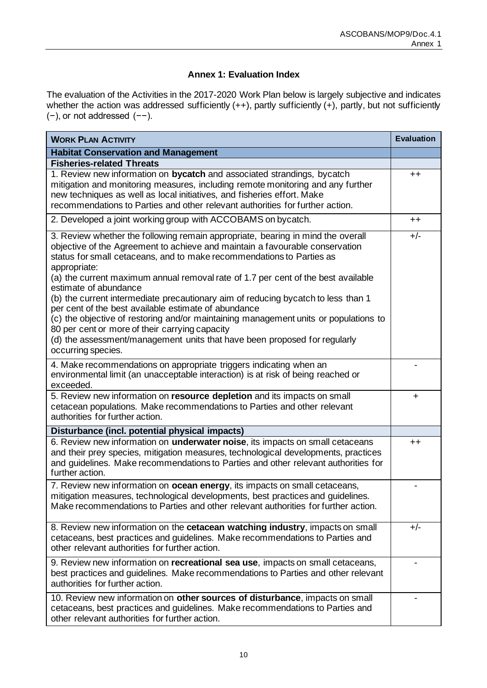# **Annex 1: Evaluation Index**

The evaluation of the Activities in the 2017-2020 Work Plan below is largely subjective and indicates whether the action was addressed sufficiently (++), partly sufficiently (+), partly, but not sufficiently (−), or not addressed (−−).

| <b>WORK PLAN ACTIVITY</b>                                                                                                                                                                                                                                                                                                                                                                                                                                                                                                                                                                                                                                                                                                                                        | <b>Evaluation</b> |
|------------------------------------------------------------------------------------------------------------------------------------------------------------------------------------------------------------------------------------------------------------------------------------------------------------------------------------------------------------------------------------------------------------------------------------------------------------------------------------------------------------------------------------------------------------------------------------------------------------------------------------------------------------------------------------------------------------------------------------------------------------------|-------------------|
| <b>Habitat Conservation and Management</b>                                                                                                                                                                                                                                                                                                                                                                                                                                                                                                                                                                                                                                                                                                                       |                   |
| <b>Fisheries-related Threats</b>                                                                                                                                                                                                                                                                                                                                                                                                                                                                                                                                                                                                                                                                                                                                 |                   |
| 1. Review new information on bycatch and associated strandings, bycatch<br>mitigation and monitoring measures, including remote monitoring and any further<br>new techniques as well as local initiatives, and fisheries effort. Make<br>recommendations to Parties and other relevant authorities for further action.                                                                                                                                                                                                                                                                                                                                                                                                                                           | $^{\mathrm{+}}$   |
| 2. Developed a joint working group with ACCOBAMS on bycatch.                                                                                                                                                                                                                                                                                                                                                                                                                                                                                                                                                                                                                                                                                                     | $^{\mathrm{+}}$   |
| 3. Review whether the following remain appropriate, bearing in mind the overall<br>objective of the Agreement to achieve and maintain a favourable conservation<br>status for small cetaceans, and to make recommendations to Parties as<br>appropriate:<br>(a) the current maximum annual removal rate of 1.7 per cent of the best available<br>estimate of abundance<br>(b) the current intermediate precautionary aim of reducing bycatch to less than 1<br>per cent of the best available estimate of abundance<br>(c) the objective of restoring and/or maintaining management units or populations to<br>80 per cent or more of their carrying capacity<br>(d) the assessment/management units that have been proposed for regularly<br>occurring species. | $+/-$             |
| 4. Make recommendations on appropriate triggers indicating when an<br>environmental limit (an unacceptable interaction) is at risk of being reached or<br>exceeded.                                                                                                                                                                                                                                                                                                                                                                                                                                                                                                                                                                                              |                   |
| 5. Review new information on resource depletion and its impacts on small<br>cetacean populations. Make recommendations to Parties and other relevant<br>authorities for further action.                                                                                                                                                                                                                                                                                                                                                                                                                                                                                                                                                                          | $\ddot{}$         |
| Disturbance (incl. potential physical impacts)                                                                                                                                                                                                                                                                                                                                                                                                                                                                                                                                                                                                                                                                                                                   |                   |
| 6. Review new information on underwater noise, its impacts on small cetaceans<br>and their prey species, mitigation measures, technological developments, practices<br>and guidelines. Make recommendations to Parties and other relevant authorities for<br>further action.                                                                                                                                                                                                                                                                                                                                                                                                                                                                                     | $^{\mathrm{+}}$   |
| 7. Review new information on ocean energy, its impacts on small cetaceans,<br>mitigation measures, technological developments, best practices and guidelines.<br>Make recommendations to Parties and other relevant authorities for further action.                                                                                                                                                                                                                                                                                                                                                                                                                                                                                                              |                   |
| 8. Review new information on the cetacean watching industry, impacts on small<br>cetaceans, best practices and guidelines. Make recommendations to Parties and<br>other relevant authorities for further action.                                                                                                                                                                                                                                                                                                                                                                                                                                                                                                                                                 | $+/-$             |
| 9. Review new information on <b>recreational sea use</b> , impacts on small cetaceans,<br>best practices and guidelines. Make recommendations to Parties and other relevant<br>authorities for further action.                                                                                                                                                                                                                                                                                                                                                                                                                                                                                                                                                   |                   |
| 10. Review new information on other sources of disturbance, impacts on small<br>cetaceans, best practices and guidelines. Make recommendations to Parties and<br>other relevant authorities for further action.                                                                                                                                                                                                                                                                                                                                                                                                                                                                                                                                                  |                   |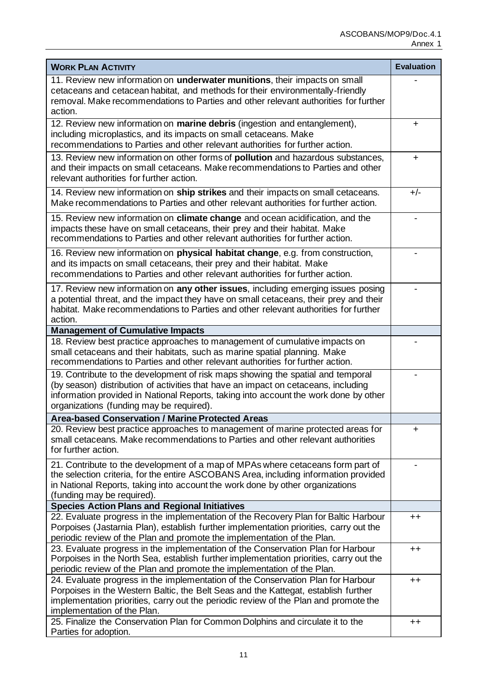| <b>WORK PLAN ACTIVITY</b>                                                                                                                                                                                                                                                                                 | <b>Evaluation</b> |
|-----------------------------------------------------------------------------------------------------------------------------------------------------------------------------------------------------------------------------------------------------------------------------------------------------------|-------------------|
| 11. Review new information on underwater munitions, their impacts on small<br>cetaceans and cetacean habitat, and methods for their environmentally-friendly<br>removal. Make recommendations to Parties and other relevant authorities for further<br>action.                                            |                   |
| 12. Review new information on <b>marine debris</b> (ingestion and entanglement),<br>including microplastics, and its impacts on small cetaceans. Make<br>recommendations to Parties and other relevant authorities for further action.                                                                    | ÷                 |
| 13. Review new information on other forms of <b>pollution</b> and hazardous substances,<br>and their impacts on small cetaceans. Make recommendations to Parties and other<br>relevant authorities for further action.                                                                                    | $\ddot{}$         |
| 14. Review new information on ship strikes and their impacts on small cetaceans.<br>Make recommendations to Parties and other relevant authorities for further action.                                                                                                                                    | $+/-$             |
| 15. Review new information on climate change and ocean acidification, and the<br>impacts these have on small cetaceans, their prey and their habitat. Make<br>recommendations to Parties and other relevant authorities for further action.                                                               |                   |
| 16. Review new information on physical habitat change, e.g. from construction,<br>and its impacts on small cetaceans, their prey and their habitat. Make<br>recommendations to Parties and other relevant authorities for further action.                                                                 |                   |
| 17. Review new information on any other issues, including emerging issues posing<br>a potential threat, and the impact they have on small cetaceans, their prey and their<br>habitat. Make recommendations to Parties and other relevant authorities for further<br>action.                               |                   |
| <b>Management of Cumulative Impacts</b>                                                                                                                                                                                                                                                                   |                   |
| 18. Review best practice approaches to management of cumulative impacts on<br>small cetaceans and their habitats, such as marine spatial planning. Make<br>recommendations to Parties and other relevant authorities for further action.                                                                  |                   |
| 19. Contribute to the development of risk maps showing the spatial and temporal<br>(by season) distribution of activities that have an impact on cetaceans, including<br>information provided in National Reports, taking into account the work done by other<br>organizations (funding may be required). |                   |
| <b>Area-based Conservation / Marine Protected Areas</b>                                                                                                                                                                                                                                                   |                   |
| 20. Review best practice approaches to management of marine protected areas for<br>small cetaceans. Make recommendations to Parties and other relevant authorities<br>for further action.                                                                                                                 | ÷                 |
| 21. Contribute to the development of a map of MPAs where cetaceans form part of<br>the selection criteria, for the entire ASCOBANS Area, including information provided<br>in National Reports, taking into account the work done by other organizations<br>(funding may be required).                    |                   |
| <b>Species Action Plans and Regional Initiatives</b>                                                                                                                                                                                                                                                      |                   |
| 22. Evaluate progress in the implementation of the Recovery Plan for Baltic Harbour<br>Porpoises (Jastarnia Plan), establish further implementation priorities, carry out the<br>periodic review of the Plan and promote the implementation of the Plan.                                                  | $++$              |
| 23. Evaluate progress in the implementation of the Conservation Plan for Harbour<br>Porpoises in the North Sea, establish further implementation priorities, carry out the<br>periodic review of the Plan and promote the implementation of the Plan.                                                     | $^{\mathrm{+}}$   |
| 24. Evaluate progress in the implementation of the Conservation Plan for Harbour<br>Porpoises in the Western Baltic, the Belt Seas and the Kattegat, establish further<br>implementation priorities, carry out the periodic review of the Plan and promote the<br>implementation of the Plan.             | $++$              |
| 25. Finalize the Conservation Plan for Common Dolphins and circulate it to the<br>Parties for adoption.                                                                                                                                                                                                   | $++$              |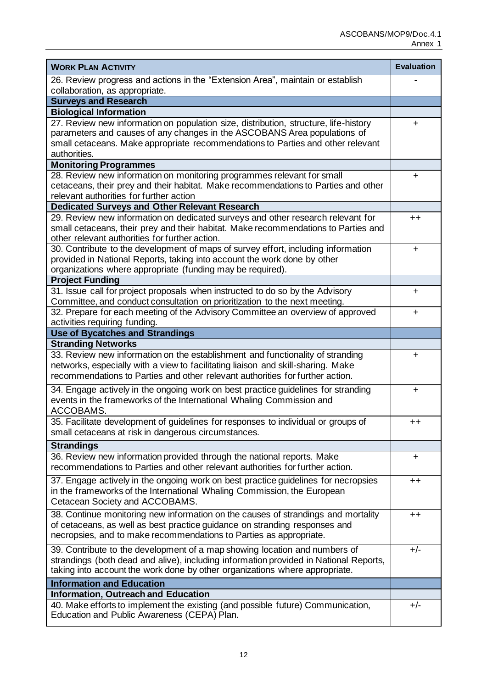| <b>WORK PLAN ACTIVITY</b>                                                                                                                                        | <b>Evaluation</b> |
|------------------------------------------------------------------------------------------------------------------------------------------------------------------|-------------------|
| 26. Review progress and actions in the "Extension Area", maintain or establish                                                                                   |                   |
| collaboration, as appropriate.                                                                                                                                   |                   |
| <b>Surveys and Research</b>                                                                                                                                      |                   |
| <b>Biological Information</b>                                                                                                                                    |                   |
| 27. Review new information on population size, distribution, structure, life-history<br>parameters and causes of any changes in the ASCOBANS Area populations of | ÷                 |
| small cetaceans. Make appropriate recommendations to Parties and other relevant                                                                                  |                   |
| authorities.                                                                                                                                                     |                   |
| <b>Monitoring Programmes</b>                                                                                                                                     |                   |
| 28. Review new information on monitoring programmes relevant for small                                                                                           | +                 |
| cetaceans, their prey and their habitat. Make recommendations to Parties and other                                                                               |                   |
| relevant authorities for further action                                                                                                                          |                   |
| <b>Dedicated Surveys and Other Relevant Research</b>                                                                                                             |                   |
| 29. Review new information on dedicated surveys and other research relevant for                                                                                  | $++$              |
| small cetaceans, their prey and their habitat. Make recommendations to Parties and                                                                               |                   |
| other relevant authorities for further action.                                                                                                                   |                   |
| 30. Contribute to the development of maps of survey effort, including information                                                                                | $\ddot{}$         |
| provided in National Reports, taking into account the work done by other                                                                                         |                   |
| organizations where appropriate (funding may be required).                                                                                                       |                   |
| <b>Project Funding</b>                                                                                                                                           |                   |
| 31. Issue call for project proposals when instructed to do so by the Advisory                                                                                    | ÷                 |
| Committee, and conduct consultation on prioritization to the next meeting.                                                                                       |                   |
| 32. Prepare for each meeting of the Advisory Committee an overview of approved                                                                                   | ÷.                |
| activities requiring funding.                                                                                                                                    |                   |
| <b>Use of Bycatches and Strandings</b>                                                                                                                           |                   |
| <b>Stranding Networks</b>                                                                                                                                        |                   |
| 33. Review new information on the establishment and functionality of stranding                                                                                   | ÷                 |
| networks, especially with a view to facilitating liaison and skill-sharing. Make                                                                                 |                   |
| recommendations to Parties and other relevant authorities for further action.                                                                                    |                   |
| 34. Engage actively in the ongoing work on best practice guidelines for stranding                                                                                | ÷.                |
| events in the frameworks of the International Whaling Commission and                                                                                             |                   |
| ACCOBAMS.                                                                                                                                                        |                   |
| 35. Facilitate development of guidelines for responses to individual or groups of                                                                                | $^{\mathrm{++}}$  |
| small cetaceans at risk in dangerous circumstances.                                                                                                              |                   |
| <b>Strandings</b>                                                                                                                                                |                   |
| 36. Review new information provided through the national reports. Make                                                                                           | ÷                 |
| recommendations to Parties and other relevant authorities for further action.                                                                                    |                   |
| 37. Engage actively in the ongoing work on best practice guidelines for necropsies                                                                               | $^{\mathrm{+}}$   |
| in the frameworks of the International Whaling Commission, the European                                                                                          |                   |
| Cetacean Society and ACCOBAMS.                                                                                                                                   |                   |
| 38. Continue monitoring new information on the causes of strandings and mortality                                                                                | $^{\mathrm{+}}$   |
| of cetaceans, as well as best practice guidance on stranding responses and                                                                                       |                   |
| necropsies, and to make recommendations to Parties as appropriate.                                                                                               |                   |
| 39. Contribute to the development of a map showing location and numbers of                                                                                       | $+/-$             |
| strandings (both dead and alive), including information provided in National Reports,                                                                            |                   |
| taking into account the work done by other organizations where appropriate.                                                                                      |                   |
| <b>Information and Education</b>                                                                                                                                 |                   |
| <b>Information, Outreach and Education</b>                                                                                                                       |                   |
| 40. Make efforts to implement the existing (and possible future) Communication,                                                                                  | $+/-$             |
| Education and Public Awareness (CEPA) Plan.                                                                                                                      |                   |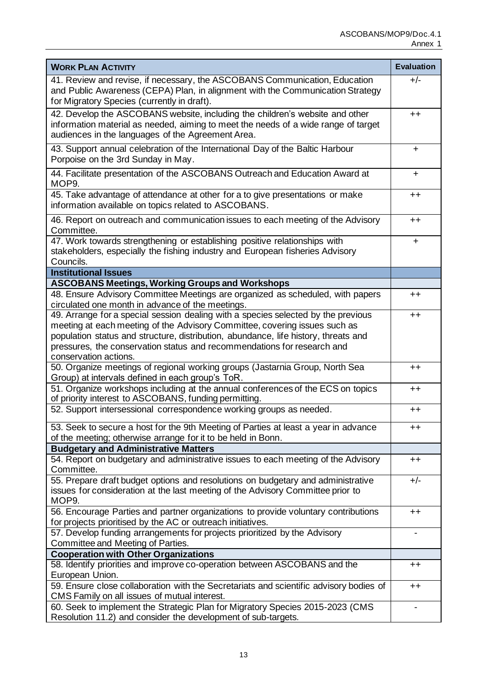| <b>WORK PLAN ACTIVITY</b>                                                                                                                                                                                               | <b>Evaluation</b> |
|-------------------------------------------------------------------------------------------------------------------------------------------------------------------------------------------------------------------------|-------------------|
| 41. Review and revise, if necessary, the ASCOBANS Communication, Education<br>and Public Awareness (CEPA) Plan, in alignment with the Communication Strategy<br>for Migratory Species (currently in draft).             | $+/-$             |
| 42. Develop the ASCOBANS website, including the children's website and other<br>information material as needed, aiming to meet the needs of a wide range of target<br>audiences in the languages of the Agreement Area. | $^{\mathrm{+}}$   |
| 43. Support annual celebration of the International Day of the Baltic Harbour<br>Porpoise on the 3rd Sunday in May.                                                                                                     | ÷.                |
| 44. Facilitate presentation of the ASCOBANS Outreach and Education Award at<br>MOP9.                                                                                                                                    | $\pm$             |
| 45. Take advantage of attendance at other for a to give presentations or make<br>information available on topics related to ASCOBANS.                                                                                   | $^{\mathrm{+}}$   |
| 46. Report on outreach and communication issues to each meeting of the Advisory<br>Committee.                                                                                                                           | $++$              |
| 47. Work towards strengthening or establishing positive relationships with<br>stakeholders, especially the fishing industry and European fisheries Advisory<br>Councils.                                                | ÷.                |
| <b>Institutional Issues</b>                                                                                                                                                                                             |                   |
| <b>ASCOBANS Meetings, Working Groups and Workshops</b>                                                                                                                                                                  |                   |
| 48. Ensure Advisory Committee Meetings are organized as scheduled, with papers<br>circulated one month in advance of the meetings.                                                                                      | $^{\mathrm{+}}$   |
| 49. Arrange for a special session dealing with a species selected by the previous<br>meeting at each meeting of the Advisory Committee, covering issues such as                                                         | $^{\mathrm{+}}$   |
| population status and structure, distribution, abundance, life history, threats and<br>pressures, the conservation status and recommendations for research and<br>conservation actions.                                 |                   |
| 50. Organize meetings of regional working groups (Jastarnia Group, North Sea<br>Group) at intervals defined in each group's ToR.                                                                                        | $^{\mathrm{+}}$   |
| 51. Organize workshops including at the annual conferences of the ECS on topics<br>of priority interest to ASCOBANS, funding permitting.                                                                                | $^{\mathrm{+}}$   |
| 52. Support intersessional correspondence working groups as needed.                                                                                                                                                     | $^{\mathrm{+}}$   |
| 53. Seek to secure a host for the 9th Meeting of Parties at least a year in advance<br>of the meeting; otherwise arrange for it to be held in Bonn.                                                                     | ++                |
| <b>Budgetary and Administrative Matters</b>                                                                                                                                                                             |                   |
| 54. Report on budgetary and administrative issues to each meeting of the Advisory<br>Committee.                                                                                                                         | $^{\mathrm{+}}$   |
| 55. Prepare draft budget options and resolutions on budgetary and administrative<br>issues for consideration at the last meeting of the Advisory Committee prior to<br>MOP9.                                            | $+/-$             |
| 56. Encourage Parties and partner organizations to provide voluntary contributions<br>for projects prioritised by the AC or outreach initiatives.                                                                       | $++$              |
| 57. Develop funding arrangements for projects prioritized by the Advisory<br>Committee and Meeting of Parties.                                                                                                          |                   |
| <b>Cooperation with Other Organizations</b>                                                                                                                                                                             |                   |
| 58. Identify priorities and improve co-operation between ASCOBANS and the<br>European Union.                                                                                                                            | $^{\mathrm{+}}$   |
| 59. Ensure close collaboration with the Secretariats and scientific advisory bodies of<br>CMS Family on all issues of mutual interest.                                                                                  | $^{\mathrm{+}}$   |
| 60. Seek to implement the Strategic Plan for Migratory Species 2015-2023 (CMS<br>Resolution 11.2) and consider the development of sub-targets.                                                                          |                   |